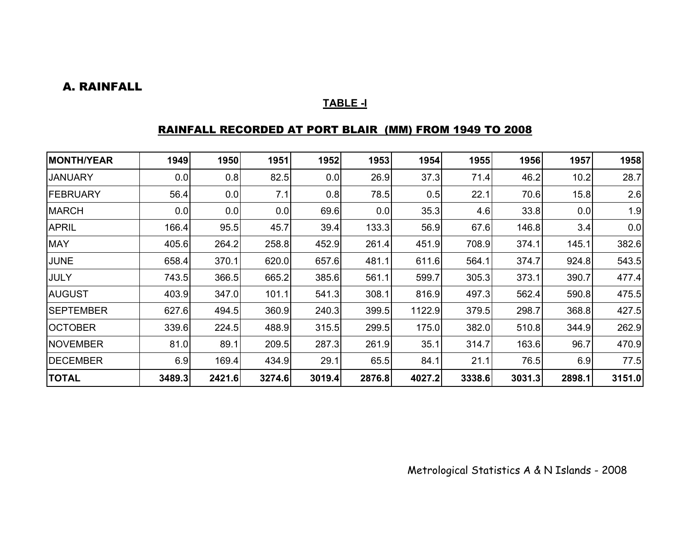### A. RAINFALL

#### **TABLE -I**

## RAINFALL RECORDED AT PORT BLAIR (MM) FROM 1949 TO 2008

| <b>MONTH/YEAR</b> | 1949   | 1950   | 1951   | 1952   | 1953   | 1954   | 1955   | 1956   | 1957   | 1958   |
|-------------------|--------|--------|--------|--------|--------|--------|--------|--------|--------|--------|
| <b>JANUARY</b>    | 0.0    | 0.8    | 82.5   | 0.0    | 26.9   | 37.3   | 71.4   | 46.2   | 10.2   | 28.7   |
| <b>FEBRUARY</b>   | 56.4   | 0.0    | 7.1    | 0.8    | 78.5   | 0.5    | 22.1   | 70.6   | 15.8   | 2.6    |
| <b>MARCH</b>      | 0.0    | 0.0    | 0.0    | 69.6   | 0.0    | 35.3   | 4.6    | 33.8   | 0.0    | 1.9    |
| <b>APRIL</b>      | 166.4  | 95.5   | 45.7   | 39.4   | 133.3  | 56.9   | 67.6   | 146.8  | 3.4    | 0.0    |
| <b>MAY</b>        | 405.6  | 264.2  | 258.8  | 452.9  | 261.4  | 451.9  | 708.9  | 374.1  | 145.1  | 382.6  |
| <b>JUNE</b>       | 658.4  | 370.1  | 620.0  | 657.6  | 481.1  | 611.6  | 564.1  | 374.7  | 924.8  | 543.5  |
| <b>JULY</b>       | 743.5  | 366.5  | 665.2  | 385.6  | 561.1  | 599.7  | 305.3  | 373.1  | 390.7  | 477.4  |
| <b>AUGUST</b>     | 403.9  | 347.0  | 101.1  | 541.3  | 308.1  | 816.9  | 497.3  | 562.4  | 590.8  | 475.5  |
| <b>SEPTEMBER</b>  | 627.6  | 494.5  | 360.9  | 240.3  | 399.5  | 1122.9 | 379.5  | 298.7  | 368.8  | 427.5  |
| <b>OCTOBER</b>    | 339.6  | 224.5  | 488.9  | 315.5  | 299.5  | 175.0  | 382.0  | 510.8  | 344.9  | 262.9  |
| <b>NOVEMBER</b>   | 81.0   | 89.1   | 209.5  | 287.3  | 261.9  | 35.1   | 314.7  | 163.6  | 96.7   | 470.9  |
| <b>DECEMBER</b>   | 6.9    | 169.4  | 434.9  | 29.1   | 65.5   | 84.1   | 21.1   | 76.5   | 6.9    | 77.5   |
| <b>TOTAL</b>      | 3489.3 | 2421.6 | 3274.6 | 3019.4 | 2876.8 | 4027.2 | 3338.6 | 3031.3 | 2898.1 | 3151.0 |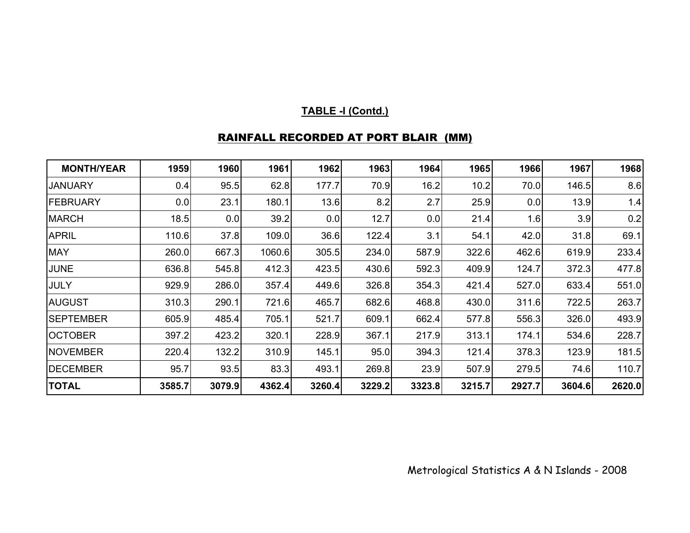| <b>MONTH/YEAR</b> | 1959   | 1960   | 1961   | 1962   | 1963   | 1964   | 1965   | 1966   | 1967   | 1968   |
|-------------------|--------|--------|--------|--------|--------|--------|--------|--------|--------|--------|
| <b>JANUARY</b>    | 0.4    | 95.5   | 62.8   | 177.7  | 70.9   | 16.2   | 10.2   | 70.0   | 146.5  | 8.6    |
| FEBRUARY          | 0.0    | 23.1   | 180.1  | 13.6   | 8.2    | 2.7    | 25.9   | 0.0    | 13.9   | 1.4    |
| <b>MARCH</b>      | 18.5   | 0.0    | 39.2   | 0.0    | 12.7   | 0.0    | 21.4   | 1.6    | 3.9    | 0.2    |
| <b>APRIL</b>      | 110.6  | 37.8   | 109.0  | 36.6   | 122.4  | 3.1    | 54.1   | 42.0   | 31.8   | 69.1   |
| <b>MAY</b>        | 260.0  | 667.3  | 1060.6 | 305.5  | 234.0  | 587.9  | 322.6  | 462.6  | 619.9  | 233.4  |
| <b>JUNE</b>       | 636.8  | 545.8  | 412.3  | 423.5  | 430.6  | 592.3  | 409.9  | 124.7  | 372.3  | 477.8  |
| JULY              | 929.9  | 286.0  | 357.4  | 449.6  | 326.8  | 354.3  | 421.4  | 527.0  | 633.4  | 551.0  |
| <b>AUGUST</b>     | 310.3  | 290.1  | 721.6  | 465.7  | 682.6  | 468.8  | 430.0  | 311.6  | 722.5  | 263.7  |
| <b>SEPTEMBER</b>  | 605.9  | 485.4  | 705.1  | 521.7  | 609.1  | 662.4  | 577.8  | 556.3  | 326.0  | 493.9  |
| <b>OCTOBER</b>    | 397.2  | 423.2  | 320.1  | 228.9  | 367.1  | 217.9  | 313.1  | 174.1  | 534.6  | 228.7  |
| <b>NOVEMBER</b>   | 220.4  | 132.2  | 310.9  | 145.1  | 95.0   | 394.3  | 121.4  | 378.3  | 123.9  | 181.5  |
| <b>IDECEMBER</b>  | 95.7   | 93.5   | 83.3   | 493.1  | 269.8  | 23.9   | 507.9  | 279.5  | 74.6   | 110.7  |
| <b>TOTAL</b>      | 3585.7 | 3079.9 | 4362.4 | 3260.4 | 3229.2 | 3323.8 | 3215.7 | 2927.7 | 3604.6 | 2620.0 |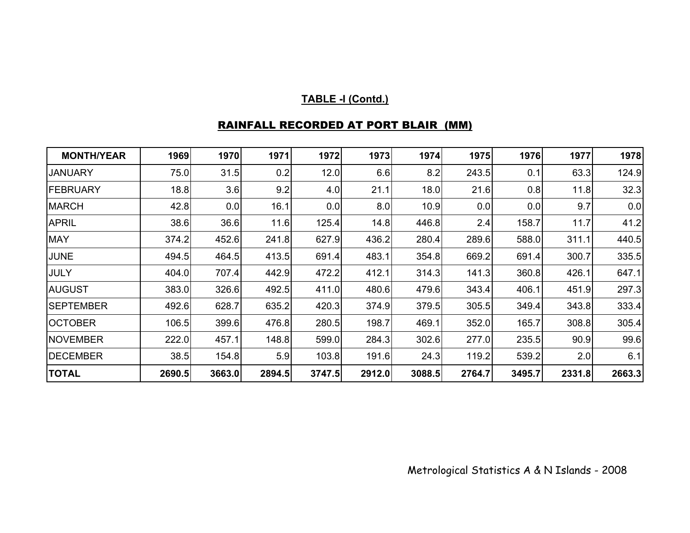| <b>MONTH/YEAR</b> | 1969   | 1970   | 1971   | 1972   | 1973   | 1974   | 1975   | 1976   | 1977   | 1978   |
|-------------------|--------|--------|--------|--------|--------|--------|--------|--------|--------|--------|
| <b>JANUARY</b>    | 75.0   | 31.5   | 0.2    | 12.0   | 6.6    | 8.2    | 243.5  | 0.1    | 63.3   | 124.9  |
| <b>FEBRUARY</b>   | 18.8   | 3.6    | 9.2    | 4.0    | 21.1   | 18.0   | 21.6   | 0.8    | 11.8   | 32.3   |
| <b>MARCH</b>      | 42.8   | 0.0    | 16.1   | 0.0    | 8.0    | 10.9   | 0.0    | 0.0    | 9.7    | 0.0    |
| <b>APRIL</b>      | 38.6   | 36.6   | 11.6   | 125.4  | 14.8   | 446.8  | 2.4    | 158.7  | 11.7   | 41.2   |
| <b>MAY</b>        | 374.2  | 452.6  | 241.8  | 627.9  | 436.2  | 280.4  | 289.6  | 588.0  | 311.1  | 440.5  |
| <b>JUNE</b>       | 494.5  | 464.5  | 413.5  | 691.4  | 483.1  | 354.8  | 669.2  | 691.4  | 300.7  | 335.5  |
| JULY              | 404.0  | 707.4  | 442.9  | 472.2  | 412.1  | 314.3  | 141.3  | 360.8  | 426.1  | 647.1  |
| <b>AUGUST</b>     | 383.0  | 326.6  | 492.5  | 411.0  | 480.6  | 479.6  | 343.4  | 406.1  | 451.9  | 297.3  |
| <b>SEPTEMBER</b>  | 492.6  | 628.7  | 635.2  | 420.3  | 374.9  | 379.5  | 305.5  | 349.4  | 343.8  | 333.4  |
| <b>OCTOBER</b>    | 106.5  | 399.6  | 476.8  | 280.5  | 198.7  | 469.1  | 352.0  | 165.7  | 308.8  | 305.4  |
| <b>NOVEMBER</b>   | 222.0  | 457.1  | 148.8  | 599.0  | 284.3  | 302.6  | 277.0  | 235.5  | 90.9   | 99.6   |
| <b>DECEMBER</b>   | 38.5   | 154.8  | 5.9    | 103.8  | 191.6  | 24.3   | 119.2  | 539.2  | 2.0    | 6.1    |
| <b>TOTAL</b>      | 2690.5 | 3663.0 | 2894.5 | 3747.5 | 2912.0 | 3088.5 | 2764.7 | 3495.7 | 2331.8 | 2663.3 |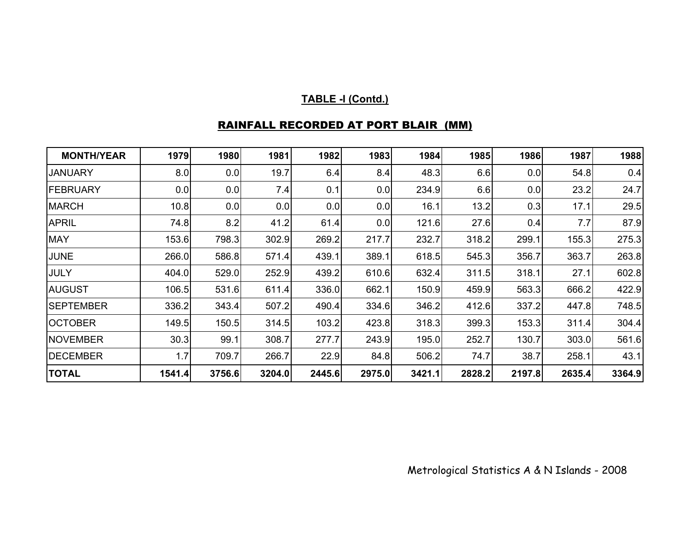| <b>MONTH/YEAR</b> | 1979   | 1980   | 1981   | 1982   | 1983   | 1984   | 1985   | 1986   | 1987   | 1988   |
|-------------------|--------|--------|--------|--------|--------|--------|--------|--------|--------|--------|
| <b>JANUARY</b>    | 8.0    | 0.0    | 19.7   | 6.4    | 8.4    | 48.3   | 6.6    | 0.0    | 54.8   | 0.4    |
| <b>FEBRUARY</b>   | 0.0    | 0.0    | 7.4    | 0.1    | 0.0    | 234.9  | 6.6    | 0.0    | 23.2   | 24.7   |
| <b>MARCH</b>      | 10.8   | 0.0    | 0.0    | 0.0    | 0.0    | 16.1   | 13.2   | 0.3    | 17.1   | 29.5   |
| <b>APRIL</b>      | 74.8   | 8.2    | 41.2   | 61.4   | 0.0    | 121.6  | 27.6   | 0.4    | 7.7    | 87.9   |
| <b>MAY</b>        | 153.6  | 798.3  | 302.9  | 269.2  | 217.7  | 232.7  | 318.2  | 299.1  | 155.3  | 275.3  |
| JUNE              | 266.0  | 586.8  | 571.4  | 439.1  | 389.1  | 618.5  | 545.3  | 356.7  | 363.7  | 263.8  |
| JULY              | 404.0  | 529.0  | 252.9  | 439.2  | 610.6  | 632.4  | 311.5  | 318.1  | 27.1   | 602.8  |
| <b>AUGUST</b>     | 106.5  | 531.6  | 611.4  | 336.0  | 662.1  | 150.9  | 459.9  | 563.3  | 666.2  | 422.9  |
| <b>SEPTEMBER</b>  | 336.2  | 343.4  | 507.2  | 490.4  | 334.6  | 346.2  | 412.6  | 337.2  | 447.8  | 748.5  |
| <b>OCTOBER</b>    | 149.5  | 150.5  | 314.5  | 103.2  | 423.8  | 318.3  | 399.3  | 153.3  | 311.4  | 304.4  |
| <b>NOVEMBER</b>   | 30.3   | 99.1   | 308.7  | 277.7  | 243.9  | 195.0  | 252.7  | 130.7  | 303.0  | 561.6  |
| <b>DECEMBER</b>   | 1.7    | 709.7  | 266.7  | 22.9   | 84.8   | 506.2  | 74.7   | 38.7   | 258.1  | 43.1   |
| <b>TOTAL</b>      | 1541.4 | 3756.6 | 3204.0 | 2445.6 | 2975.0 | 3421.1 | 2828.2 | 2197.8 | 2635.4 | 3364.9 |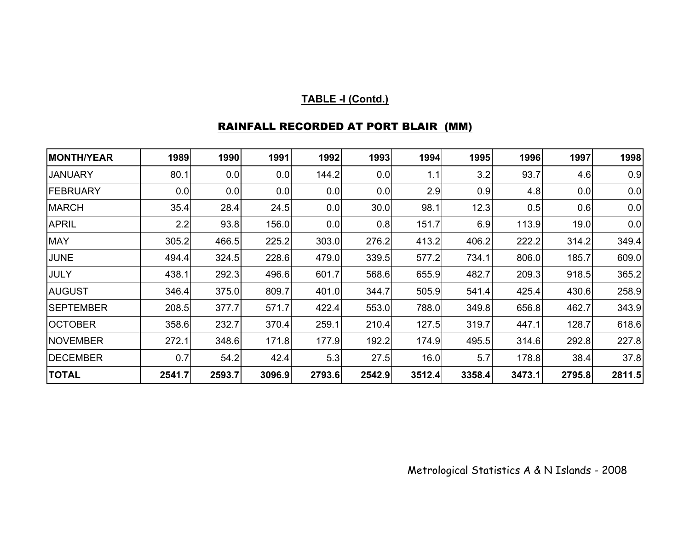| <b>MONTH/YEAR</b> | 1989   | 1990   | 1991   | 1992   | 1993   | 1994             | 1995   | 1996   | 1997   | 1998   |
|-------------------|--------|--------|--------|--------|--------|------------------|--------|--------|--------|--------|
| <b>JANUARY</b>    | 80.1   | 0.0    | 0.0    | 144.2  | 0.0    | 1.1 <sub>1</sub> | 3.2    | 93.7   | 4.6    | 0.9    |
| <b>FEBRUARY</b>   | 0.0    | 0.0    | 0.0    | 0.0    | 0.0    | 2.9              | 0.9    | 4.8    | 0.0    | 0.0    |
| <b>MARCH</b>      | 35.4   | 28.4   | 24.5   | 0.0    | 30.0   | 98.1             | 12.3   | 0.5    | 0.6    | 0.0    |
| <b>APRIL</b>      | 2.2    | 93.8   | 156.0  | 0.0    | 0.8    | 151.7            | 6.9    | 113.9  | 19.0   | 0.0    |
| <b>MAY</b>        | 305.2  | 466.5  | 225.2  | 303.0  | 276.2  | 413.2            | 406.2  | 222.2  | 314.2  | 349.4  |
| <b>JUNE</b>       | 494.4  | 324.5  | 228.6  | 479.0  | 339.5  | 577.2            | 734.1  | 806.0  | 185.7  | 609.0  |
| <b>JULY</b>       | 438.1  | 292.3  | 496.6  | 601.7  | 568.6  | 655.9            | 482.7  | 209.3  | 918.5  | 365.2  |
| <b>AUGUST</b>     | 346.4  | 375.0  | 809.7  | 401.0  | 344.7  | 505.9            | 541.4  | 425.4  | 430.6  | 258.9  |
| <b>SEPTEMBER</b>  | 208.5  | 377.7  | 571.7  | 422.4  | 553.0  | 788.0            | 349.8  | 656.8  | 462.7  | 343.9  |
| <b>OCTOBER</b>    | 358.6  | 232.7  | 370.4  | 259.1  | 210.4  | 127.5            | 319.7  | 447.1  | 128.7  | 618.6  |
| <b>NOVEMBER</b>   | 272.1  | 348.6  | 171.8  | 177.9  | 192.2  | 174.9            | 495.5  | 314.6  | 292.8  | 227.8  |
| <b>DECEMBER</b>   | 0.7    | 54.2   | 42.4   | 5.3    | 27.5   | 16.0             | 5.7    | 178.8  | 38.4   | 37.8   |
| <b>TOTAL</b>      | 2541.7 | 2593.7 | 3096.9 | 2793.6 | 2542.9 | 3512.4           | 3358.4 | 3473.1 | 2795.8 | 2811.5 |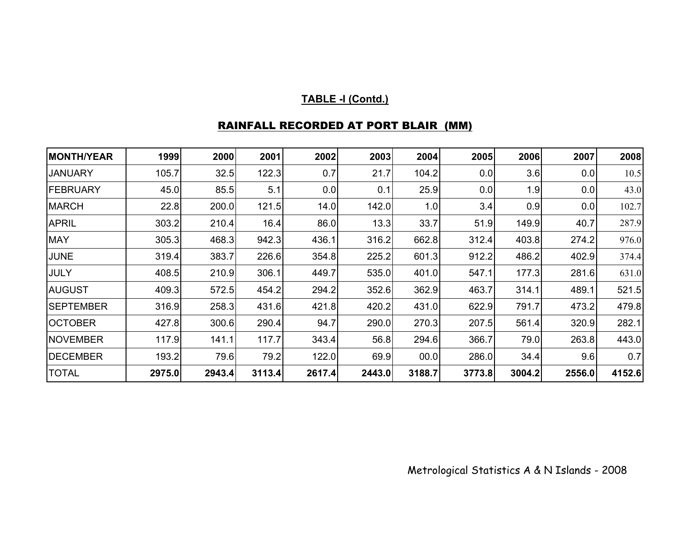| <b>MONTH/YEAR</b> | 1999   | 2000   | 2001   | 2002   | 2003   | 2004   | 2005   | 2006   | 2007   | 2008   |
|-------------------|--------|--------|--------|--------|--------|--------|--------|--------|--------|--------|
| <b>JANUARY</b>    | 105.7  | 32.5   | 122.3  | 0.7    | 21.7   | 104.2  | 0.0    | 3.6    | 0.0    | 10.5   |
| <b>FEBRUARY</b>   | 45.0   | 85.5   | 5.1    | 0.0    | 0.1    | 25.9   | 0.0    | 1.9    | 0.0    | 43.0   |
| <b>MARCH</b>      | 22.8   | 200.0  | 121.5  | 14.0   | 142.0  | 1.0    | 3.4    | 0.9    | 0.0    | 102.7  |
| <b>APRIL</b>      | 303.2  | 210.4  | 16.4   | 86.0   | 13.3   | 33.7   | 51.9   | 149.9  | 40.7   | 287.9  |
| <b>MAY</b>        | 305.3  | 468.3  | 942.3  | 436.1  | 316.2  | 662.8  | 312.4  | 403.8  | 274.2  | 976.0  |
| <b>JUNE</b>       | 319.4  | 383.7  | 226.6  | 354.8  | 225.2  | 601.3  | 912.2  | 486.2  | 402.9  | 374.4  |
| <b>JULY</b>       | 408.5  | 210.9  | 306.1  | 449.7  | 535.0  | 401.0  | 547.1  | 177.3  | 281.6  | 631.0  |
| <b>AUGUST</b>     | 409.3  | 572.5  | 454.2  | 294.2  | 352.6  | 362.9  | 463.7  | 314.1  | 489.1  | 521.5  |
| <b>SEPTEMBER</b>  | 316.9  | 258.3  | 431.6  | 421.8  | 420.2  | 431.0  | 622.9  | 791.7  | 473.2  | 479.8  |
| <b>OCTOBER</b>    | 427.8  | 300.6  | 290.4  | 94.7   | 290.0  | 270.3  | 207.5  | 561.4  | 320.9  | 282.1  |
| <b>NOVEMBER</b>   | 117.9  | 141.1  | 117.7  | 343.4  | 56.8   | 294.6  | 366.7  | 79.0   | 263.8  | 443.0  |
| <b>DECEMBER</b>   | 193.2  | 79.6   | 79.2   | 122.0  | 69.9   | 00.0   | 286.0  | 34.4   | 9.6    | 0.7    |
| <b>TOTAL</b>      | 2975.0 | 2943.4 | 3113.4 | 2617.4 | 2443.0 | 3188.7 | 3773.8 | 3004.2 | 2556.0 | 4152.6 |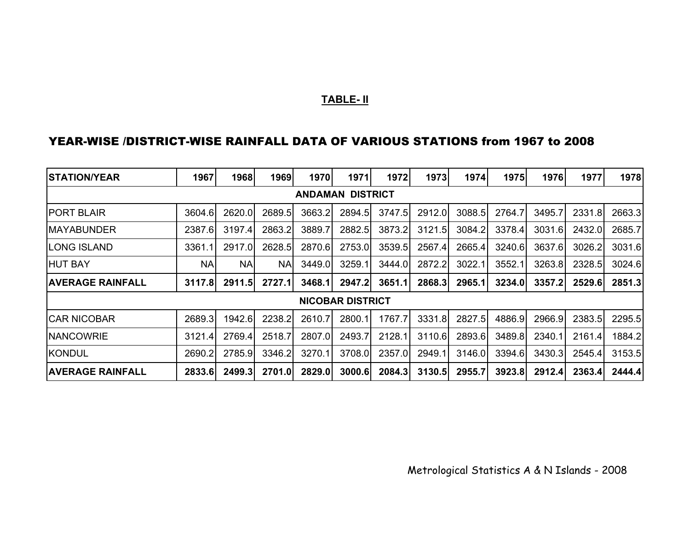#### **TABLE- II**

## YEAR-WISE /DISTRICT-WISE RAINFALL DATA OF VARIOUS STATIONS from 1967 to 2008

| ISTATION/YEAR           | 1967      | 1968      | 1969       | 1970           | 1971                    | 1972   | 1973   | 1974   | 1975   | 1976   | 1977   | 1978   |
|-------------------------|-----------|-----------|------------|----------------|-------------------------|--------|--------|--------|--------|--------|--------|--------|
|                         |           |           |            | <b>ANDAMAN</b> | <b>DISTRICT</b>         |        |        |        |        |        |        |        |
| <b>PORT BLAIR</b>       | 3604.6    | 2620.0    | 2689.5     | 3663.2         | 2894.5                  | 3747.5 | 2912.0 | 3088.5 | 2764.7 | 3495.7 | 2331.8 | 2663.3 |
| <b>MAYABUNDER</b>       | 2387.6    | 3197.4    | 2863.2     | 3889.7         | 2882.5                  | 3873.2 | 3121.5 | 3084.2 | 3378.4 | 3031.6 | 2432.0 | 2685.7 |
| <b>LONG ISLAND</b>      | 3361.1    | 2917.0    | 2628.5     | 2870.6         | 2753.0                  | 3539.5 | 2567.4 | 2665.4 | 3240.6 | 3637.6 | 3026.2 | 3031.6 |
| <b>HUT BAY</b>          | <b>NA</b> | <b>NA</b> | <b>NAI</b> | 3449.0         | 3259.1                  | 3444.0 | 2872.2 | 3022.1 | 3552.1 | 3263.8 | 2328.5 | 3024.6 |
| <b>AVERAGE RAINFALL</b> | 3117.8    | 2911.5    | 2727.1     | 3468.1         | 2947.2                  | 3651.1 | 2868.3 | 2965.1 | 3234.0 | 3357.2 | 2529.6 | 2851.3 |
|                         |           |           |            |                | <b>NICOBAR DISTRICT</b> |        |        |        |        |        |        |        |
| <b>CAR NICOBAR</b>      | 2689.3    | 1942.6    | 2238.2     | 2610.7         | 2800.1                  | 1767.7 | 3331.8 | 2827.5 | 4886.9 | 2966.9 | 2383.5 | 2295.5 |
| <b>NANCOWRIE</b>        | 3121.4    | 2769.4    | 2518.7     | 2807.0         | 2493.7                  | 2128.1 | 3110.6 | 2893.6 | 3489.8 | 2340.1 | 2161.4 | 1884.2 |
| KONDUL                  | 2690.2    | 2785.9    | 3346.2     | 3270.1         | 3708.0                  | 2357.0 | 2949.1 | 3146.0 | 3394.6 | 3430.3 | 2545.4 | 3153.5 |
| <b>AVERAGE RAINFALL</b> | 2833.6    | 2499.3    | 2701.0     | 2829.0         | 3000.6                  | 2084.3 | 3130.5 | 2955.7 | 3923.8 | 2912.4 | 2363.4 | 2444.4 |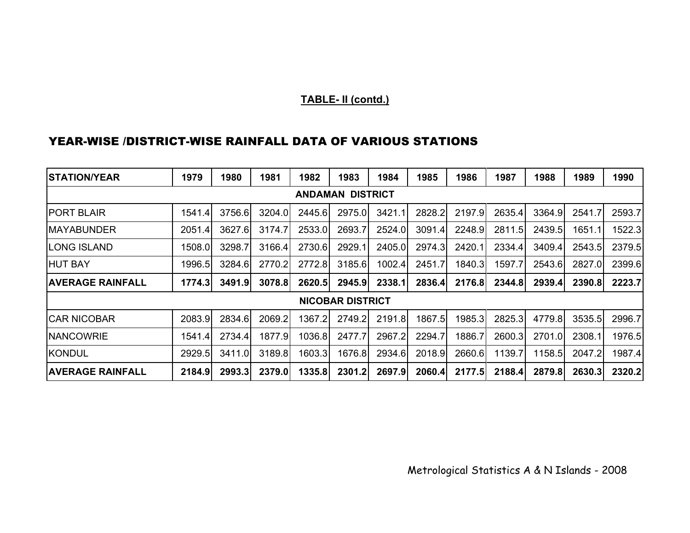# **TABLE- II (contd.)**

## YEAR-WISE /DISTRICT-WISE RAINFALL DATA OF VARIOUS STATIONS

| <b>STATION/YEAR</b>     | 1979   | 1980   | 1981   | 1982   | 1983                    | 1984   | 1985   | 1986   | 1987   | 1988   | 1989   | 1990   |
|-------------------------|--------|--------|--------|--------|-------------------------|--------|--------|--------|--------|--------|--------|--------|
|                         |        |        |        |        | <b>ANDAMAN DISTRICT</b> |        |        |        |        |        |        |        |
| <b>PORT BLAIR</b>       | 1541.4 | 3756.6 | 3204.0 | 2445.6 | 2975.0                  | 3421.1 | 2828.2 | 2197.9 | 2635.4 | 3364.9 | 2541.7 | 2593.7 |
| <b>MAYABUNDER</b>       | 2051.4 | 3627.6 | 3174.7 | 2533.0 | 2693.7                  | 2524.0 | 3091.4 | 2248.9 | 2811.5 | 2439.5 | 1651.1 | 1522.3 |
| <b>LONG ISLAND</b>      | 1508.0 | 3298.7 | 3166.4 | 2730.6 | 2929.1                  | 2405.0 | 2974.3 | 2420.1 | 2334.4 | 3409.4 | 2543.5 | 2379.5 |
| <b>HUT BAY</b>          | 1996.5 | 3284.6 | 2770.2 | 2772.8 | 3185.6                  | 1002.4 | 2451.7 | 1840.3 | 1597.7 | 2543.6 | 2827.0 | 2399.6 |
| <b>AVERAGE RAINFALL</b> | 1774.3 | 3491.9 | 3078.8 | 2620.5 | 2945.9                  | 2338.1 | 2836.4 | 2176.8 | 2344.8 | 2939.4 | 2390.8 | 2223.7 |
|                         |        |        |        |        | <b>NICOBAR DISTRICT</b> |        |        |        |        |        |        |        |
| <b>CAR NICOBAR</b>      | 2083.9 | 2834.6 | 2069.2 | 1367.2 | 2749.2                  | 2191.8 | 1867.5 | 1985.3 | 2825.3 | 4779.8 | 3535.5 | 2996.7 |
| <b>NANCOWRIE</b>        | 1541.4 | 2734.4 | 1877.9 | 1036.8 | 2477.7                  | 2967.2 | 2294.7 | 1886.7 | 2600.3 | 2701.0 | 2308.1 | 1976.5 |
| KONDUL                  | 2929.5 | 3411.0 | 3189.8 | 1603.3 | 1676.8                  | 2934.6 | 2018.9 | 2660.6 | 1139.7 | 1158.5 | 2047.2 | 1987.4 |
| <b>AVERAGE RAINFALL</b> | 2184.9 | 2993.3 | 2379.0 | 1335.8 | 2301.2                  | 2697.9 | 2060.4 | 2177.5 | 2188.4 | 2879.8 | 2630.3 | 2320.2 |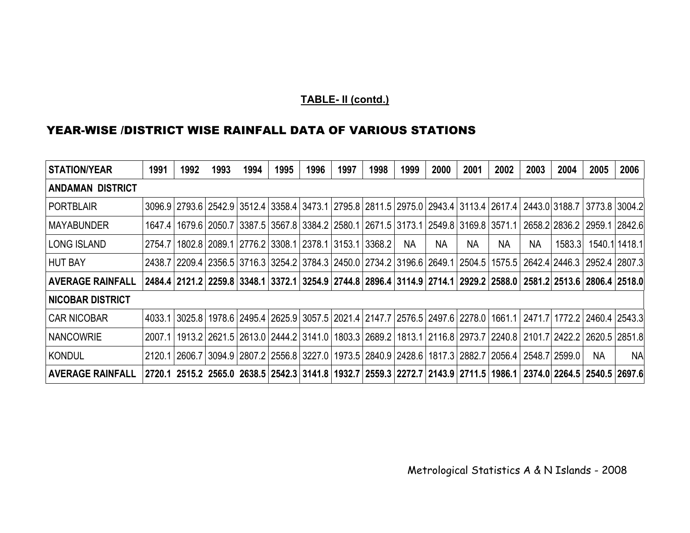# **TABLE- II (contd.)**

## YEAR-WISE /DISTRICT WISE RAINFALL DATA OF VARIOUS STATIONS

| <b>STATION/YEAR</b>     | 1991    | 1992 | 1993 | 1994                              | 1995 | 1996    | 1997 | 1998                                                                                             | 1999      | 2000 | 2001 | 2002 | 2003 | 2004                                                                                                                                          | 2005 | 2006          |
|-------------------------|---------|------|------|-----------------------------------|------|---------|------|--------------------------------------------------------------------------------------------------|-----------|------|------|------|------|-----------------------------------------------------------------------------------------------------------------------------------------------|------|---------------|
| ANDAMAN DISTRICT        |         |      |      |                                   |      |         |      |                                                                                                  |           |      |      |      |      |                                                                                                                                               |      |               |
| <b>PORTBLAIR</b>        |         |      |      |                                   |      |         |      |                                                                                                  |           |      |      |      |      | 3096.9 2793.6 2542.9 3512.4 3358.4 3473.1 2795.8 2811.5 2975.0 2943.4 3113.4 2617.4 2443.0 3188.7 3773.8 3004.2                               |      |               |
| MAYABUNDER              | 1647.4  |      |      |                                   |      |         |      | 1679.6   2050.7   3387.5   3567.8   3384.2   2580.1   2671.5   3173.1   2549.8   3169.8   3571.1 |           |      |      |      |      | 2658.2  2836.2   2959.1   2842.6                                                                                                              |      |               |
| <b>LONG ISLAND</b>      | 2754.7  |      |      | 1802.8   2089.1   2776.2   3308.1 |      | 12378.1 |      | 3153.1 3368.2                                                                                    | <b>NA</b> | NA.  | NA   | NA   | NА   | 1583.3                                                                                                                                        |      | 1540.1 1418.1 |
| <b>HUT BAY</b>          |         |      |      |                                   |      |         |      |                                                                                                  |           |      |      |      |      | 2438.7   2209.4   2356.5   3716.3   3254.2   3784.3   2450.0   2734.2   3196.6   2649.1   2504.5   1575.5   2642.4   2446.3   2952.4   2807.3 |      |               |
| <b>AVERAGE RAINFALL</b> |         |      |      |                                   |      |         |      |                                                                                                  |           |      |      |      |      | 2484.4 2121.2 2259.8 3348.1 3372.1 3254.9 2744.8 2896.4 3114.9 2714.1 2929.2 2588.0 2581.2 2513.6 2806.4 2518.0                               |      |               |
| <b>NICOBAR DISTRICT</b> |         |      |      |                                   |      |         |      |                                                                                                  |           |      |      |      |      |                                                                                                                                               |      |               |
| CAR NICOBAR             | 4033.1  |      |      |                                   |      |         |      |                                                                                                  |           |      |      |      |      | 3025.8   1978.6   2495.4   2625.9   3057.5   2021.4   2147.7   2576.5   2497.6   2278.0   1661.1   2471.7   1772.2   2460.4   2543.3          |      |               |
| <b>NANCOWRIE</b>        | 2007.11 |      |      |                                   |      |         |      |                                                                                                  |           |      |      |      |      | 1913.2 2621.5 2613.0 2444.2 3141.0 1803.3 2689.2 1813.1 2116.8 2973.7 2240.8 2101.7 2422.2 2620.5 2851.8                                      |      |               |
| KONDUL                  | 2120.11 |      |      |                                   |      |         |      |                                                                                                  |           |      |      |      |      | 2606.7 3094.9 2807.2 2556.8 3227.0 1973.5 2840.9 2428.6 1817.3 2882.7 2056.4 2548.7 2599.0                                                    | NA.  | <b>NA</b>     |
| <b>AVERAGE RAINFALL</b> |         |      |      |                                   |      |         |      |                                                                                                  |           |      |      |      |      | 2720.1 2515.2 2565.0 2638.5 2542.3 3141.8 1932.7 2559.3 2272.7 2143.9 2711.5 1986.1 2374.0 2264.5 2540.5 2697.6                               |      |               |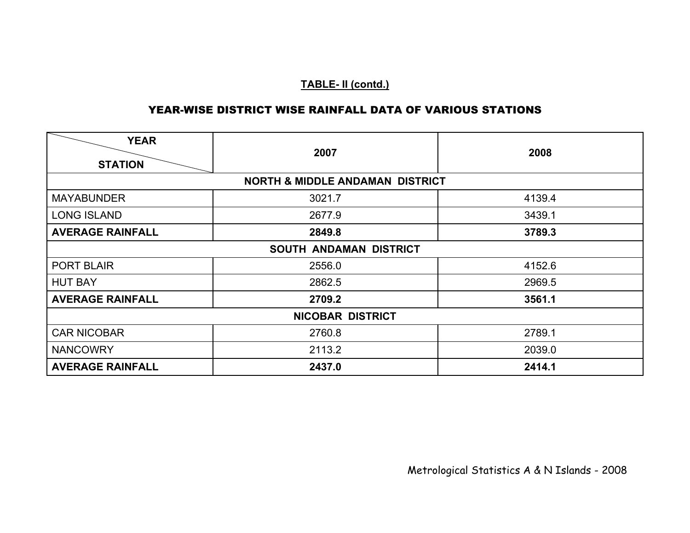# **TABLE- II (contd.)**

#### YEAR-WISE DISTRICT WISE RAINFALL DATA OF VARIOUS STATIONS

| <b>YEAR</b><br><b>STATION</b> | 2007                                       | 2008   |
|-------------------------------|--------------------------------------------|--------|
|                               | <b>NORTH &amp; MIDDLE ANDAMAN DISTRICT</b> |        |
|                               |                                            |        |
| <b>MAYABUNDER</b>             | 3021.7                                     | 4139.4 |
| <b>LONG ISLAND</b>            | 2677.9                                     | 3439.1 |
| <b>AVERAGE RAINFALL</b>       | 2849.8                                     | 3789.3 |
|                               | SOUTH ANDAMAN DISTRICT                     |        |
| <b>PORT BLAIR</b>             | 2556.0                                     | 4152.6 |
| <b>HUT BAY</b>                | 2862.5                                     | 2969.5 |
| <b>AVERAGE RAINFALL</b>       | 2709.2                                     | 3561.1 |
|                               | <b>NICOBAR DISTRICT</b>                    |        |
| <b>CAR NICOBAR</b>            | 2760.8                                     | 2789.1 |
| <b>NANCOWRY</b>               | 2113.2                                     | 2039.0 |
| <b>AVERAGE RAINFALL</b>       | 2437.0                                     | 2414.1 |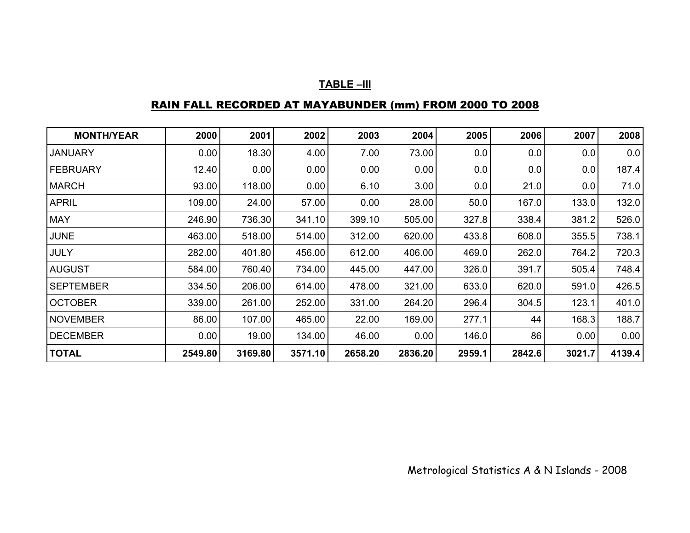#### **TABLE –III**

# RAIN FALL RECORDED AT MAYABUNDER (mm) FROM 2000 TO 2008

| <b>MONTH/YEAR</b> | 2000    | 2001    | 2002    | 2003    | 2004    | 2005   | 2006   | 2007   | 2008   |
|-------------------|---------|---------|---------|---------|---------|--------|--------|--------|--------|
| <b>JANUARY</b>    | 0.00    | 18.30   | 4.00    | 7.00    | 73.00   | 0.0    | 0.0    | 0.0    | 0.0    |
| FEBRUARY          | 12.40   | 0.00    | 0.00    | 0.00    | 0.00    | 0.0    | 0.0    | 0.0    | 187.4  |
| <b>MARCH</b>      | 93.00   | 118.00  | 0.00    | 6.10    | 3.00    | 0.0    | 21.0   | 0.0    | 71.0   |
| <b>APRIL</b>      | 109.00  | 24.00   | 57.00   | 0.00    | 28.00   | 50.0   | 167.0  | 133.0  | 132.0  |
| <b>MAY</b>        | 246.90  | 736.30  | 341.10  | 399.10  | 505.00  | 327.8  | 338.4  | 381.2  | 526.0  |
| <b>JUNE</b>       | 463.00  | 518.00  | 514.00  | 312.00  | 620.00  | 433.8  | 608.0  | 355.5  | 738.1  |
| <b>JULY</b>       | 282.00  | 401.80  | 456.00  | 612.00  | 406.00  | 469.0  | 262.0  | 764.2  | 720.3  |
| <b>AUGUST</b>     | 584.00  | 760.40  | 734.00  | 445.00  | 447.00  | 326.0  | 391.7  | 505.4  | 748.4  |
| <b>SEPTEMBER</b>  | 334.50  | 206.00  | 614.00  | 478.00  | 321.00  | 633.0  | 620.0  | 591.0  | 426.5  |
| <b>OCTOBER</b>    | 339.00  | 261.00  | 252.00  | 331.00  | 264.20  | 296.4  | 304.5  | 123.1  | 401.0  |
| <b>NOVEMBER</b>   | 86.00   | 107.00  | 465.00  | 22.00   | 169.00  | 277.1  | 44     | 168.3  | 188.7  |
| <b>DECEMBER</b>   | 0.00    | 19.00   | 134.00  | 46.00   | 0.00    | 146.0  | 86     | 0.00   | 0.00   |
| <b>TOTAL</b>      | 2549.80 | 3169.80 | 3571.10 | 2658.20 | 2836.20 | 2959.1 | 2842.6 | 3021.7 | 4139.4 |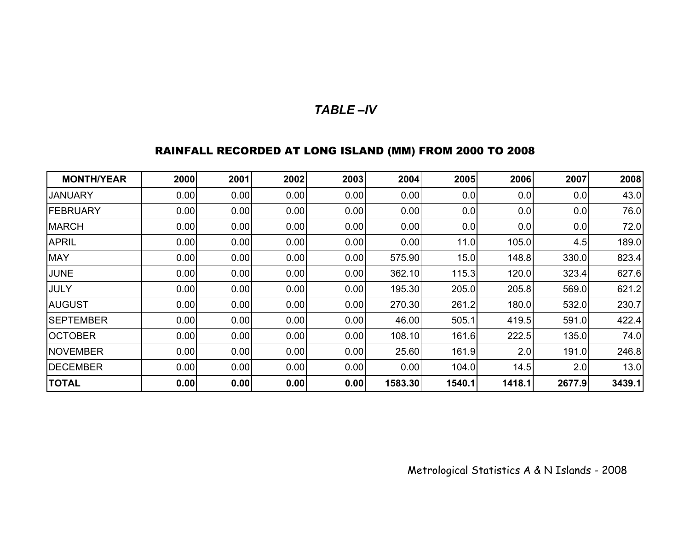#### *TABLE –IV*

# RAINFALL RECORDED AT LONG ISLAND (MM) FROM 2000 TO 2008

| <b>MONTH/YEAR</b> | 2000 | 2001 | 2002 | 2003 | 2004    | 2005   | 2006   | 2007   | 2008   |
|-------------------|------|------|------|------|---------|--------|--------|--------|--------|
| <b>JANUARY</b>    | 0.00 | 0.00 | 0.00 | 0.00 | 0.00    | 0.0    | 0.0    | 0.0    | 43.0   |
| FEBRUARY          | 0.00 | 0.00 | 0.00 | 0.00 | 0.00    | 0.0    | 0.0    | 0.0    | 76.0   |
| <b>MARCH</b>      | 0.00 | 0.00 | 0.00 | 0.00 | 0.00    | 0.0    | 0.0    | 0.0    | 72.0   |
| <b>APRIL</b>      | 0.00 | 0.00 | 0.00 | 0.00 | 0.00    | 11.0   | 105.0  | 4.5    | 189.0  |
| <b>MAY</b>        | 0.00 | 0.00 | 0.00 | 0.00 | 575.90  | 15.0   | 148.8  | 330.0  | 823.4  |
| <b>JUNE</b>       | 0.00 | 0.00 | 0.00 | 0.00 | 362.10  | 115.3  | 120.0  | 323.4  | 627.6  |
| JULY              | 0.00 | 0.00 | 0.00 | 0.00 | 195.30  | 205.0  | 205.8  | 569.0  | 621.2  |
| <b>AUGUST</b>     | 0.00 | 0.00 | 0.00 | 0.00 | 270.30  | 261.2  | 180.0  | 532.0  | 230.7  |
| <b>SEPTEMBER</b>  | 0.00 | 0.00 | 0.00 | 0.00 | 46.00   | 505.1  | 419.5  | 591.0  | 422.4  |
| <b>OCTOBER</b>    | 0.00 | 0.00 | 0.00 | 0.00 | 108.10  | 161.6  | 222.5  | 135.0  | 74.0   |
| <b>NOVEMBER</b>   | 0.00 | 0.00 | 0.00 | 0.00 | 25.60   | 161.9  | 2.0    | 191.0  | 246.8  |
| <b>DECEMBER</b>   | 0.00 | 0.00 | 0.00 | 0.00 | 0.00    | 104.0  | 14.5   | 2.0    | 13.0   |
| <b>TOTAL</b>      | 0.00 | 0.00 | 0.00 | 0.00 | 1583.30 | 1540.1 | 1418.1 | 2677.9 | 3439.1 |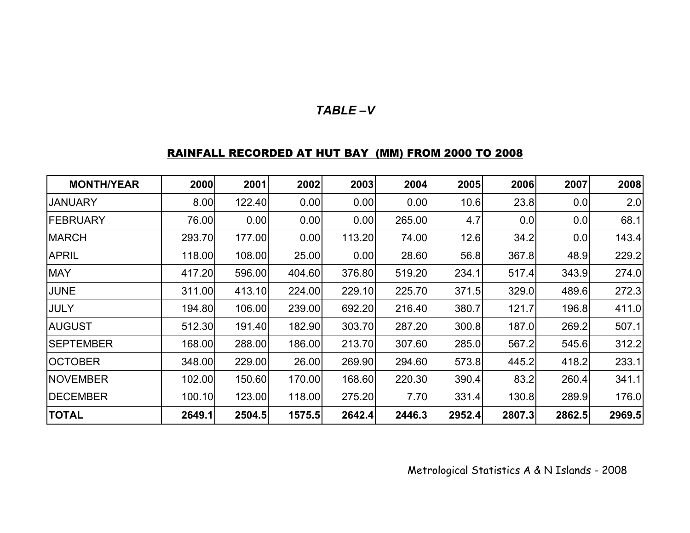#### *TABLE –V*

# RAINFALL RECORDED AT HUT BAY (MM) FROM 2000 TO 2008

| <b>MONTH/YEAR</b> | 2000   | 2001   | 2002   | 2003   | 2004   | 2005   | 2006   | 2007   | 2008   |
|-------------------|--------|--------|--------|--------|--------|--------|--------|--------|--------|
| <b>JANUARY</b>    | 8.00   | 122.40 | 0.00   | 0.00   | 0.00   | 10.6   | 23.8   | 0.0    | 2.0    |
| <b>FEBRUARY</b>   | 76.00  | 0.00   | 0.00   | 0.00   | 265.00 | 4.7    | 0.0    | 0.0    | 68.1   |
| <b>MARCH</b>      | 293.70 | 177.00 | 0.00   | 113.20 | 74.00  | 12.6   | 34.2   | 0.0    | 143.4  |
| <b>APRIL</b>      | 118.00 | 108.00 | 25.00  | 0.00   | 28.60  | 56.8   | 367.8  | 48.9   | 229.2  |
| <b>MAY</b>        | 417.20 | 596.00 | 404.60 | 376.80 | 519.20 | 234.1  | 517.4  | 343.9  | 274.0  |
| <b>JUNE</b>       | 311.00 | 413.10 | 224.00 | 229.10 | 225.70 | 371.5  | 329.0  | 489.6  | 272.3  |
| <b>JULY</b>       | 194.80 | 106.00 | 239.00 | 692.20 | 216.40 | 380.7  | 121.7  | 196.8  | 411.0  |
| <b>AUGUST</b>     | 512.30 | 191.40 | 182.90 | 303.70 | 287.20 | 300.8  | 187.0  | 269.2  | 507.1  |
| <b>SEPTEMBER</b>  | 168.00 | 288.00 | 186.00 | 213.70 | 307.60 | 285.0  | 567.2  | 545.6  | 312.2  |
| <b>OCTOBER</b>    | 348.00 | 229.00 | 26.00  | 269.90 | 294.60 | 573.8  | 445.2  | 418.2  | 233.1  |
| <b>NOVEMBER</b>   | 102.00 | 150.60 | 170.00 | 168.60 | 220.30 | 390.4  | 83.2   | 260.4  | 341.1  |
| <b>DECEMBER</b>   | 100.10 | 123.00 | 118.00 | 275.20 | 7.70   | 331.4  | 130.8  | 289.9  | 176.0  |
| <b>TOTAL</b>      | 2649.1 | 2504.5 | 1575.5 | 2642.4 | 2446.3 | 2952.4 | 2807.3 | 2862.5 | 2969.5 |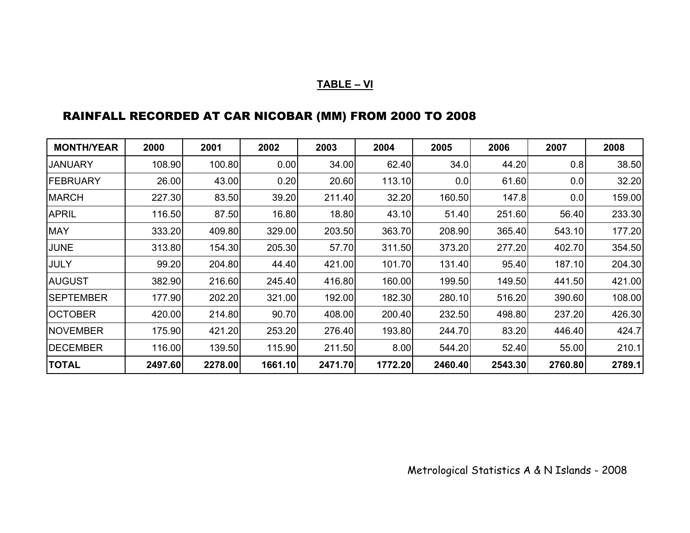#### **TABLE – VI**

# RAINFALL RECORDED AT CAR NICOBAR (MM) FROM 2000 TO 2008

| <b>MONTH/YEAR</b> | 2000    | 2001    | 2002    | 2003    | 2004    | 2005    | 2006    | 2007    | 2008   |
|-------------------|---------|---------|---------|---------|---------|---------|---------|---------|--------|
| <b>JANUARY</b>    | 108.90  | 100.80  | 0.00    | 34.00   | 62.40   | 34.0    | 44.20   | 0.8     | 38.50  |
| <b>IFEBRUARY</b>  | 26.00   | 43.00   | 0.20    | 20.60   | 113.10  | 0.0     | 61.60   | 0.0     | 32.20  |
| <b>MARCH</b>      | 227.30  | 83.50   | 39.20   | 211.40  | 32.20   | 160.50  | 147.8   | 0.0     | 159.00 |
| <b>APRIL</b>      | 116.50  | 87.50   | 16.80   | 18.80   | 43.10   | 51.40   | 251.60  | 56.40   | 233.30 |
| <b>MAY</b>        | 333.20  | 409.80  | 329.00  | 203.50  | 363.70  | 208.90  | 365.40  | 543.10  | 177.20 |
| <b>JUNE</b>       | 313.80  | 154.30  | 205.30  | 57.70   | 311.50  | 373.20  | 277.20  | 402.70  | 354.50 |
| <b>JULY</b>       | 99.20   | 204.80  | 44.40   | 421.00  | 101.70  | 131.40  | 95.40   | 187.10  | 204.30 |
| <b>AUGUST</b>     | 382.90  | 216.60  | 245.40  | 416.80  | 160.00  | 199.50  | 149.50  | 441.50  | 421.00 |
| <b>SEPTEMBER</b>  | 177.90  | 202.20  | 321.00  | 192.00  | 182.30  | 280.10  | 516.20  | 390.60  | 108.00 |
| <b>OCTOBER</b>    | 420.00  | 214.80  | 90.70   | 408.00  | 200.40  | 232.50  | 498.80  | 237.20  | 426.30 |
| <b>NOVEMBER</b>   | 175.90  | 421.20  | 253.20  | 276.40  | 193.80  | 244.70  | 83.20   | 446.40  | 424.7  |
| <b>DECEMBER</b>   | 116.00  | 139.50  | 115.90  | 211.50  | 8.00    | 544.20  | 52.40   | 55.00   | 210.1  |
| <b>TOTAL</b>      | 2497.60 | 2278.00 | 1661.10 | 2471.70 | 1772.20 | 2460.40 | 2543.30 | 2760.80 | 2789.1 |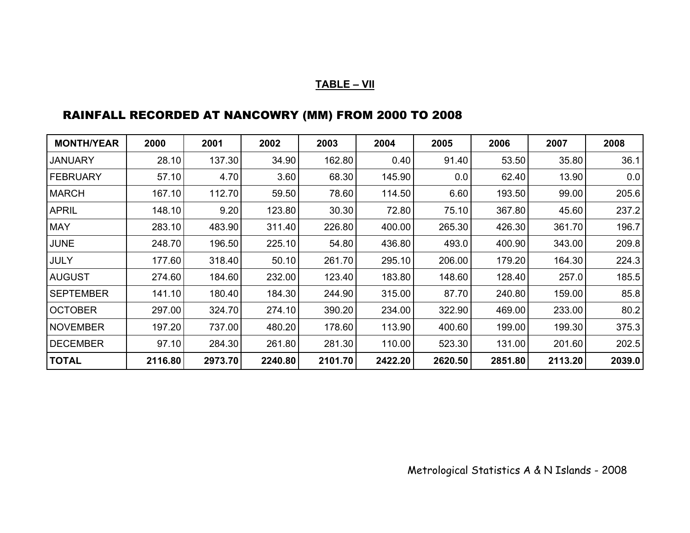#### **TABLE – VII**

# RAINFALL RECORDED AT NANCOWRY (MM) FROM 2000 TO 2008

| <b>MONTH/YEAR</b> | 2000    | 2001    | 2002    | 2003    | 2004    | 2005    | 2006    | 2007    | 2008   |
|-------------------|---------|---------|---------|---------|---------|---------|---------|---------|--------|
| <b>JANUARY</b>    | 28.10   | 137.30  | 34.90   | 162.80  | 0.40    | 91.40   | 53.50   | 35.80   | 36.1   |
| <b>FEBRUARY</b>   | 57.10   | 4.70    | 3.60    | 68.30   | 145.90  | 0.0     | 62.40   | 13.90   | 0.0    |
| <b>MARCH</b>      | 167.10  | 112.70  | 59.50   | 78.60   | 114.50  | 6.60    | 193.50  | 99.00   | 205.6  |
| <b>APRIL</b>      | 148.10  | 9.20    | 123.80  | 30.30   | 72.80   | 75.10   | 367.80  | 45.60   | 237.2  |
| <b>MAY</b>        | 283.10  | 483.90  | 311.40  | 226.80  | 400.00  | 265.30  | 426.30  | 361.70  | 196.7  |
| <b>JUNE</b>       | 248.70  | 196.50  | 225.10  | 54.80   | 436.80  | 493.0   | 400.90  | 343.00  | 209.8  |
| <b>JULY</b>       | 177.60  | 318.40  | 50.10   | 261.70  | 295.10  | 206.00  | 179.20  | 164.30  | 224.3  |
| <b>AUGUST</b>     | 274.60  | 184.60  | 232.00  | 123.40  | 183.80  | 148.60  | 128.40  | 257.0   | 185.5  |
| <b>SEPTEMBER</b>  | 141.10  | 180.40  | 184.30  | 244.90  | 315.00  | 87.70   | 240.80  | 159.00  | 85.8   |
| <b>OCTOBER</b>    | 297.00  | 324.70  | 274.10  | 390.20  | 234.00  | 322.90  | 469.00  | 233.00  | 80.2   |
| <b>NOVEMBER</b>   | 197.20  | 737.00  | 480.20  | 178.60  | 113.90  | 400.60  | 199.00  | 199.30  | 375.3  |
| <b>DECEMBER</b>   | 97.10   | 284.30  | 261.80  | 281.30  | 110.00  | 523.30  | 131.00  | 201.60  | 202.5  |
| <b>TOTAL</b>      | 2116.80 | 2973.70 | 2240.80 | 2101.70 | 2422.20 | 2620.50 | 2851.80 | 2113.20 | 2039.0 |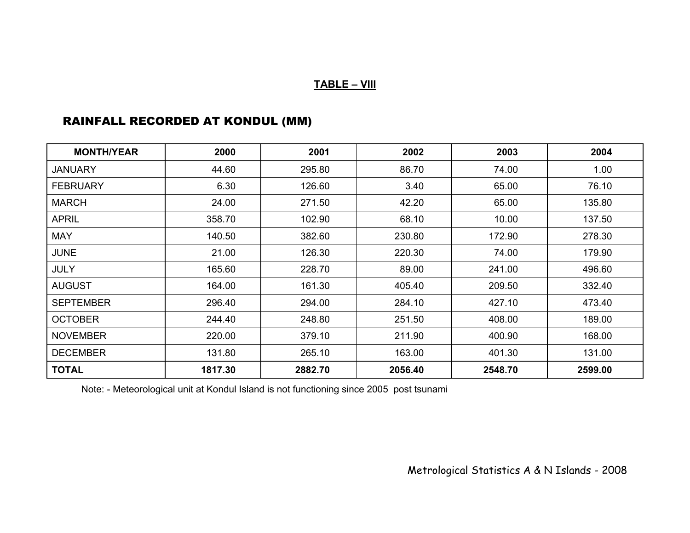#### **TABLE – VIII**

# RAINFALL RECORDED AT KONDUL (MM)

| <b>MONTH/YEAR</b> | 2000    | 2001    | 2002    | 2003    | 2004    |
|-------------------|---------|---------|---------|---------|---------|
| <b>JANUARY</b>    | 44.60   | 295.80  | 86.70   | 74.00   | 1.00    |
| <b>FEBRUARY</b>   | 6.30    | 126.60  | 3.40    | 65.00   | 76.10   |
| <b>MARCH</b>      | 24.00   | 271.50  | 42.20   | 65.00   | 135.80  |
| <b>APRIL</b>      | 358.70  | 102.90  | 68.10   | 10.00   | 137.50  |
| <b>MAY</b>        | 140.50  | 382.60  | 230.80  | 172.90  | 278.30  |
| <b>JUNE</b>       | 21.00   | 126.30  | 220.30  | 74.00   | 179.90  |
| <b>JULY</b>       | 165.60  | 228.70  | 89.00   | 241.00  | 496.60  |
| <b>AUGUST</b>     | 164.00  | 161.30  | 405.40  | 209.50  | 332.40  |
| <b>SEPTEMBER</b>  | 296.40  | 294.00  | 284.10  | 427.10  | 473.40  |
| <b>OCTOBER</b>    | 244.40  | 248.80  | 251.50  | 408.00  | 189.00  |
| <b>NOVEMBER</b>   | 220.00  | 379.10  | 211.90  | 400.90  | 168.00  |
| <b>DECEMBER</b>   | 131.80  | 265.10  | 163.00  | 401.30  | 131.00  |
| <b>TOTAL</b>      | 1817.30 | 2882.70 | 2056.40 | 2548.70 | 2599.00 |

Note: - Meteorological unit at Kondul Island is not functioning since 2005 post tsunami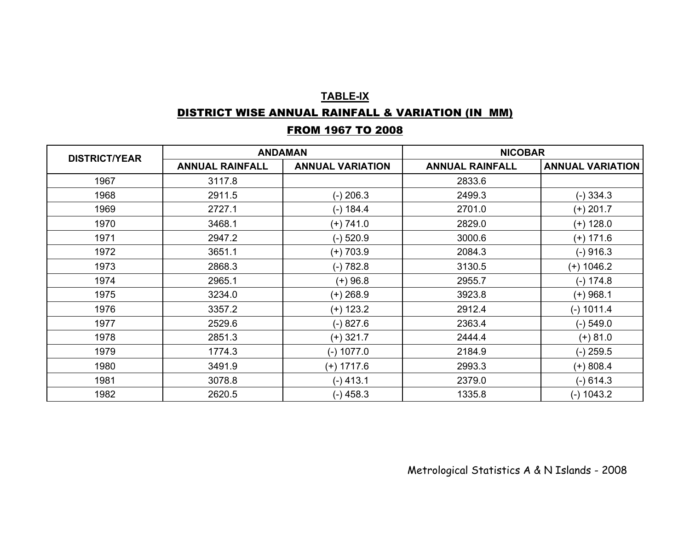#### **TABLE-IX**

## DISTRICT WISE ANNUAL RAINFALL & VARIATION (IN MM)

#### FROM 1967 TO 2008

| <b>DISTRICT/YEAR</b> |                        | <b>ANDAMAN</b>          | <b>NICOBAR</b>         |                         |  |
|----------------------|------------------------|-------------------------|------------------------|-------------------------|--|
|                      | <b>ANNUAL RAINFALL</b> | <b>ANNUAL VARIATION</b> | <b>ANNUAL RAINFALL</b> | <b>ANNUAL VARIATION</b> |  |
| 1967                 | 3117.8                 |                         | 2833.6                 |                         |  |
| 1968                 | 2911.5                 | $(-)$ 206.3             | 2499.3                 | $(-)334.3$              |  |
| 1969                 | 2727.1                 | $(-) 184.4$             | 2701.0                 | $(+)$ 201.7             |  |
| 1970                 | 3468.1                 | $(+) 741.0$             | 2829.0                 | $(+)$ 128.0             |  |
| 1971                 | 2947.2                 | $(-)$ 520.9             | 3000.6                 | $(+)$ 171.6             |  |
| 1972                 | 3651.1                 | $(+)$ 703.9             | 2084.3                 | $(-)$ 916.3             |  |
| 1973                 | 2868.3                 | $(-) 782.8$             | 3130.5                 | $(+)$ 1046.2            |  |
| 1974                 | 2965.1                 | $(+)$ 96.8              | 2955.7                 | $(-) 174.8$             |  |
| 1975                 | 3234.0                 | (+) 268.9               | 3923.8                 | $(+)$ 968.1             |  |
| 1976                 | 3357.2                 | $(+)$ 123.2             | 2912.4                 | $(-)$ 1011.4            |  |
| 1977                 | 2529.6                 | $(-) 827.6$             | 2363.4                 | $(-)$ 549.0             |  |
| 1978                 | 2851.3                 | $(+)$ 321.7             | 2444.4                 | $(+) 81.0$              |  |
| 1979                 | 1774.3                 | $(-)$ 1077.0            | 2184.9                 | $(-)$ 259.5             |  |
| 1980                 | 3491.9                 | $(+)$ 1717.6            | 2993.3                 | $(+) 808.4$             |  |
| 1981                 | 3078.8                 | $(-)$ 413.1             | 2379.0                 | $(-)$ 614.3             |  |
| 1982                 | 2620.5                 | $(-)$ 458.3             | 1335.8                 | $(-)$ 1043.2            |  |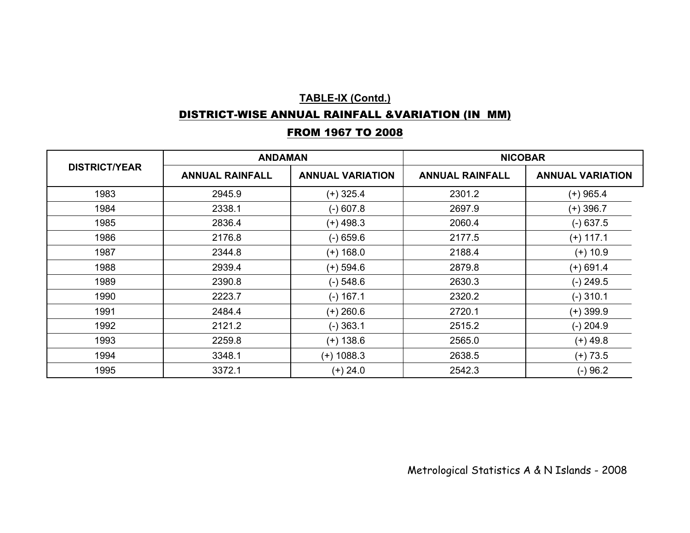# DISTRICT-WISE ANNUAL RAINFALL &VARIATION (IN MM)

#### FROM 1967 TO 2008

|                      | <b>ANDAMAN</b>         |                         | <b>NICOBAR</b>         |                         |
|----------------------|------------------------|-------------------------|------------------------|-------------------------|
| <b>DISTRICT/YEAR</b> | <b>ANNUAL RAINFALL</b> | <b>ANNUAL VARIATION</b> | <b>ANNUAL RAINFALL</b> | <b>ANNUAL VARIATION</b> |
| 1983                 | 2945.9                 | $(+)$ 325.4             | 2301.2                 | $(+)$ 965.4             |
| 1984                 | 2338.1                 | $(-) 607.8$             | 2697.9                 | $(+)$ 396.7             |
| 1985                 | 2836.4                 | $(+)$ 498.3             | 2060.4                 | $(-) 637.5$             |
| 1986                 | 2176.8                 | $(-) 659.6$             | 2177.5                 | $(+)$ 117.1             |
| 1987                 | 2344.8                 | $(+)$ 168.0             | 2188.4                 | $(+)$ 10.9              |
| 1988                 | 2939.4                 | $(+)$ 594.6             | 2879.8                 | $(+)$ 691.4             |
| 1989                 | 2390.8                 | $(-)$ 548.6             | 2630.3                 | $(-)$ 249.5             |
| 1990                 | 2223.7                 | $(-) 167.1$             | 2320.2                 | $(-)$ 310.1             |
| 1991                 | 2484.4                 | $(+)$ 260.6             | 2720.1                 | $(+)$ 399.9             |
| 1992                 | 2121.2                 | $(-)$ 363.1             | 2515.2                 | $(-)$ 204.9             |
| 1993                 | 2259.8                 | $(+)$ 138.6             | 2565.0                 | $(+)$ 49.8              |
| 1994                 | 3348.1                 | $(+)$ 1088.3            | 2638.5                 | $(+) 73.5$              |
| 1995                 | 3372.1                 | $(+)$ 24.0              | 2542.3                 | $(-) 96.2$              |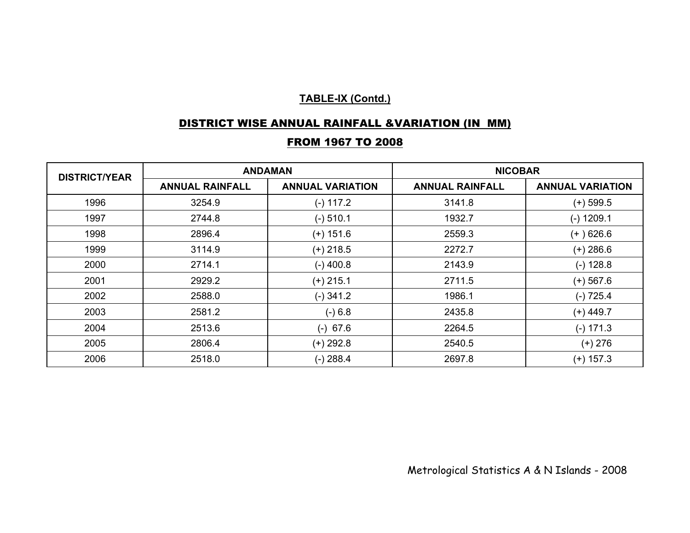## DISTRICT WISE ANNUAL RAINFALL &VARIATION (IN MM)

#### FROM 1967 TO 2008

| <b>DISTRICT/YEAR</b> |                        | <b>ANDAMAN</b>          | <b>NICOBAR</b>         |                         |
|----------------------|------------------------|-------------------------|------------------------|-------------------------|
|                      | <b>ANNUAL RAINFALL</b> | <b>ANNUAL VARIATION</b> | <b>ANNUAL RAINFALL</b> | <b>ANNUAL VARIATION</b> |
| 1996                 | 3254.9                 | $(-) 117.2$             | 3141.8                 | $(+)$ 599.5             |
| 1997                 | 2744.8                 | $(-)$ 510.1             | 1932.7                 | $(-)$ 1209.1            |
| 1998                 | 2896.4                 | $(+)$ 151.6             | 2559.3                 | $(+)626.6$              |
| 1999                 | 3114.9                 | $(+)$ 218.5             | 2272.7                 | $(+)$ 286.6             |
| 2000                 | 2714.1                 | $(-)$ 400.8             | 2143.9                 | $(-) 128.8$             |
| 2001                 | 2929.2                 | $(+)$ 215.1             | 2711.5                 | $(+)$ 567.6             |
| 2002                 | 2588.0                 | $(-)$ 341.2             | 1986.1                 | $(-) 725.4$             |
| 2003                 | 2581.2                 | $(-) 6.8$               | 2435.8                 | $(+)$ 449.7             |
| 2004                 | 2513.6                 | $(-)$ 67.6              | 2264.5                 | $(-)$ 171.3             |
| 2005                 | 2806.4                 | $(+)$ 292.8             | 2540.5                 | $(+)$ 276               |
| 2006                 | 2518.0                 | $(-)$ 288.4             | 2697.8                 | $(+)$ 157.3             |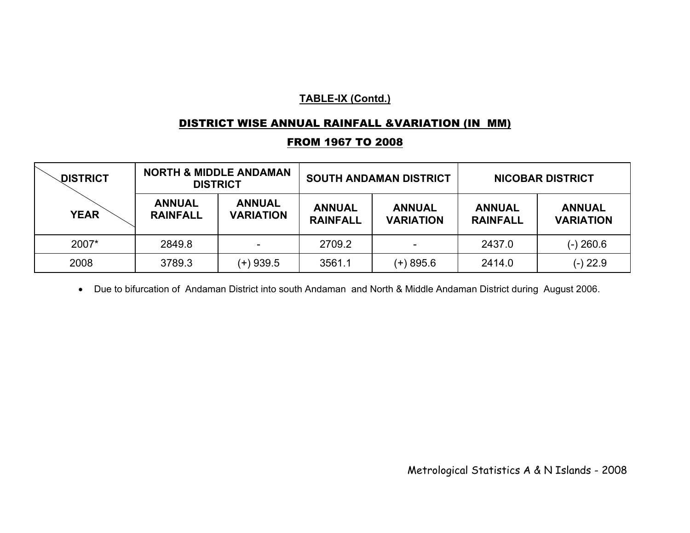## DISTRICT WISE ANNUAL RAINFALL &VARIATION (IN MM)

#### FROM 1967 TO 2008

| <b>DISTRICT</b> | <b>NORTH &amp; MIDDLE ANDAMAN</b><br><b>DISTRICT</b> |                                   | <b>SOUTH ANDAMAN DISTRICT</b>    |                                   | <b>NICOBAR DISTRICT</b>          |                                   |
|-----------------|------------------------------------------------------|-----------------------------------|----------------------------------|-----------------------------------|----------------------------------|-----------------------------------|
| <b>YEAR</b>     | <b>ANNUAL</b><br><b>RAINFALL</b>                     | <b>ANNUAL</b><br><b>VARIATION</b> | <b>ANNUAL</b><br><b>RAINFALL</b> | <b>ANNUAL</b><br><b>VARIATION</b> | <b>ANNUAL</b><br><b>RAINFALL</b> | <b>ANNUAL</b><br><b>VARIATION</b> |
| 2007*           | 2849.8                                               |                                   | 2709.2                           |                                   | 2437.0                           | (-) 260.6                         |
| 2008            | 3789.3                                               | (+) 939.5                         | 3561.1                           | $(+)$ 895.6                       | 2414.0                           | $(-)$ 22.9                        |

• Due to bifurcation of Andaman District into south Andaman and North & Middle Andaman District during August 2006.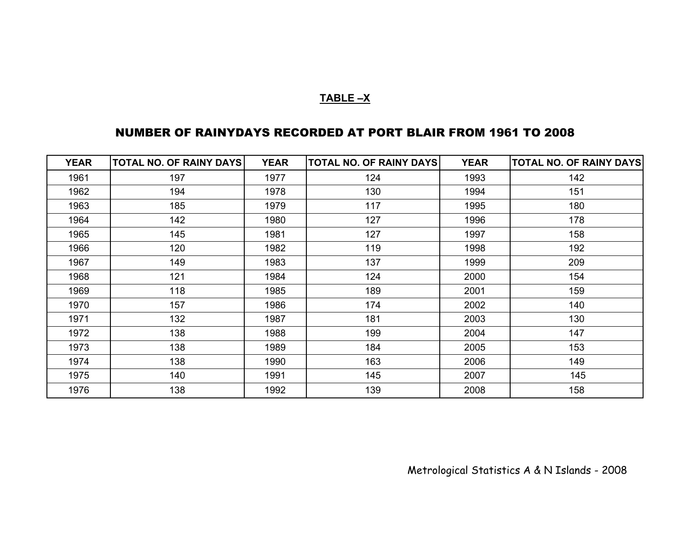#### **TABLE –X**

## NUMBER OF RAINYDAYS RECORDED AT PORT BLAIR FROM 1961 TO 2008

| <b>YEAR</b> | <b>TOTAL NO. OF RAINY DAYS</b> | <b>YEAR</b> | <b>TOTAL NO. OF RAINY DAYS</b> | <b>YEAR</b> | <b>TOTAL NO. OF RAINY DAYS</b> |
|-------------|--------------------------------|-------------|--------------------------------|-------------|--------------------------------|
| 1961        | 197                            | 1977        | 124                            | 1993        | 142                            |
| 1962        | 194                            | 1978        | 130                            | 1994        | 151                            |
| 1963        | 185                            | 1979        | 117                            | 1995        | 180                            |
| 1964        | 142                            | 1980        | 127                            | 1996        | 178                            |
| 1965        | 145                            | 1981        | 127                            | 1997        | 158                            |
| 1966        | 120                            | 1982        | 119                            | 1998        | 192                            |
| 1967        | 149                            | 1983        | 137                            | 1999        | 209                            |
| 1968        | 121                            | 1984        | 124                            | 2000        | 154                            |
| 1969        | 118                            | 1985        | 189                            | 2001        | 159                            |
| 1970        | 157                            | 1986        | 174                            | 2002        | 140                            |
| 1971        | 132                            | 1987        | 181                            | 2003        | 130                            |
| 1972        | 138                            | 1988        | 199                            | 2004        | 147                            |
| 1973        | 138                            | 1989        | 184                            | 2005        | 153                            |
| 1974        | 138                            | 1990        | 163                            | 2006        | 149                            |
| 1975        | 140                            | 1991        | 145                            | 2007        | 145                            |
| 1976        | 138                            | 1992        | 139                            | 2008        | 158                            |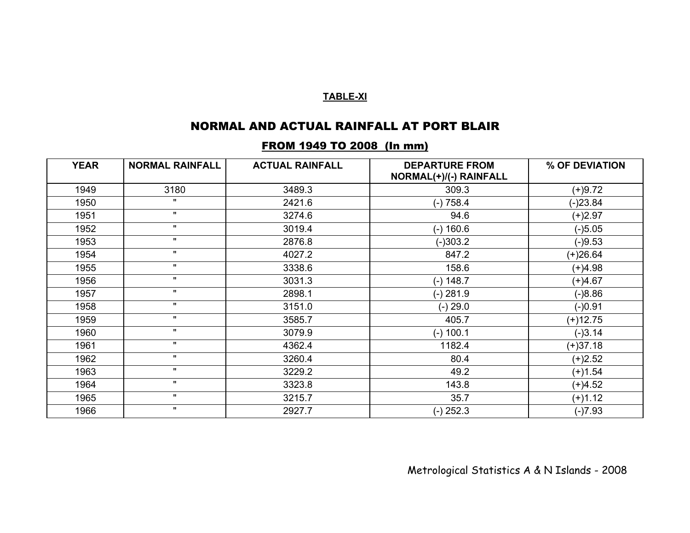#### **TABLE-XI**

#### NORMAL AND ACTUAL RAINFALL AT PORT BLAIR

| <b>YEAR</b> | <b>NORMAL RAINFALL</b> | <b>ACTUAL RAINFALL</b> | <b>DEPARTURE FROM</b><br>NORMAL(+)/(-) RAINFALL | % OF DEVIATION |
|-------------|------------------------|------------------------|-------------------------------------------------|----------------|
| 1949        | 3180                   | 3489.3                 | 309.3                                           | $(+)9.72$      |
| 1950        | $\mathbf{H}$           | 2421.6                 | $(-) 758.4$                                     | $(-)23.84$     |
| 1951        | $\mathbf{H}$           | 3274.6                 | 94.6                                            | $(+)2.97$      |
| 1952        | $\mathbf{H}$           | 3019.4                 | $(-) 160.6$                                     | $(-)5.05$      |
| 1953        | $\mathbf{H}$           | 2876.8                 | $(-)303.2$                                      | $(-)9.53$      |
| 1954        | $\mathbf{H}$           | 4027.2                 | 847.2                                           | $(+)26.64$     |
| 1955        | $\mathbf{H}$           | 3338.6                 | 158.6                                           | $(+)4.98$      |
| 1956        | $\mathbf{H}$           | 3031.3                 | $(-) 148.7$                                     | $(+)4.67$      |
| 1957        | $\mathbf{H}$           | 2898.1                 | $(-)$ 281.9                                     | $(-)8.86$      |
| 1958        | $\mathbf{H}$           | 3151.0                 | $(-) 29.0$                                      | $(-)0.91$      |
| 1959        | $\mathbf{H}$           | 3585.7                 | 405.7                                           | $(+)12.75$     |
| 1960        | $\mathbf{H}$           | 3079.9                 | $(-)$ 100.1                                     | $(-)3.14$      |
| 1961        | $\mathbf{H}$           | 4362.4                 | 1182.4                                          | $(+)37.18$     |
| 1962        | $\mathbf{H}$           | 3260.4                 | 80.4                                            | $(+)2.52$      |
| 1963        | $\mathbf{H}$           | 3229.2                 | 49.2                                            | $(+)1.54$      |
| 1964        | $\mathbf{H}$           | 3323.8                 | 143.8                                           | $(+)4.52$      |
| 1965        | $\mathbf{H}$           | 3215.7                 | 35.7                                            | $(+)1.12$      |
| 1966        | $\mathbf{H}$           | 2927.7                 | $(-)$ 252.3                                     | $(-)7.93$      |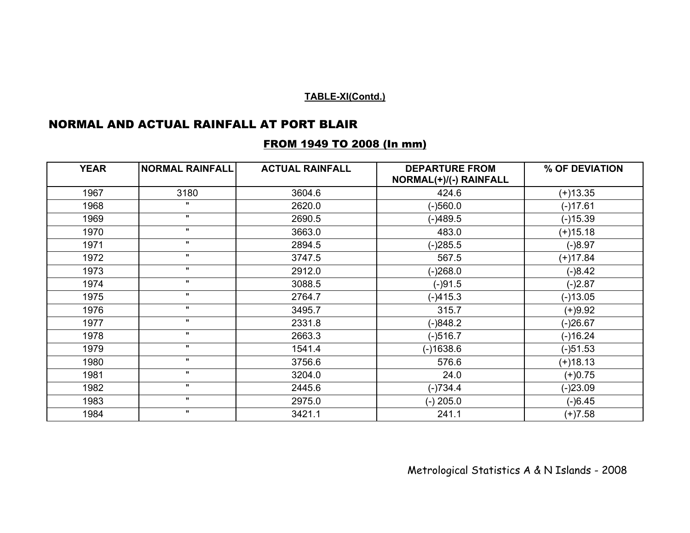## NORMAL AND ACTUAL RAINFALL AT PORT BLAIR

| <b>YEAR</b> | <b>NORMAL RAINFALL</b> | <b>ACTUAL RAINFALL</b> | <b>DEPARTURE FROM</b><br>NORMAL(+)/(-) RAINFALL | % OF DEVIATION |
|-------------|------------------------|------------------------|-------------------------------------------------|----------------|
| 1967        | 3180                   | 3604.6                 | 424.6                                           | $(+)13.35$     |
| 1968        |                        | 2620.0                 | $(-)560.0$                                      | $(-)17.61$     |
| 1969        | $\mathbf{H}$           | 2690.5                 | $(-)489.5$                                      | (-)15.39       |
| 1970        | $\mathbf{u}$           | 3663.0                 | 483.0                                           | $(+)15.18$     |
| 1971        | $\mathbf{u}$           | 2894.5                 | $(-)285.5$                                      | $(-)8.97$      |
| 1972        | $\mathbf{u}$           | 3747.5                 | 567.5                                           | $(+)17.84$     |
| 1973        | $\mathbf{u}$           | 2912.0                 | $(-)268.0$                                      | $(-)8.42$      |
| 1974        | $\mathbf{u}$           | 3088.5                 | $(-)91.5$                                       | $(-)2.87$      |
| 1975        | $\mathbf{u}$           | 2764.7                 | $(-)415.3$                                      | $(-)13.05$     |
| 1976        | $\mathbf{u}$           | 3495.7                 | 315.7                                           | $(+)9.92$      |
| 1977        | $\mathbf{u}$           | 2331.8                 | $(-)848.2$                                      | (-)26.67       |
| 1978        | $\mathbf{u}$           | 2663.3                 | $(-)516.7$                                      | $(-)16.24$     |
| 1979        | $\mathbf{u}$           | 1541.4                 | $(-)1638.6$                                     | (-)51.53       |
| 1980        | $\mathbf{H}$           | 3756.6                 | 576.6                                           | $(+)18.13$     |
| 1981        | $\mathbf{u}$           | 3204.0                 | 24.0                                            | $(+)0.75$      |
| 1982        | $\mathbf{u}$           | 2445.6                 | $(-)734.4$                                      | (-)23.09       |
| 1983        | $\mathbf{u}$           | 2975.0                 | $(-)$ 205.0                                     | $(-)6.45$      |
| 1984        | $\mathbf{H}$           | 3421.1                 | 241.1                                           | $(+)7.58$      |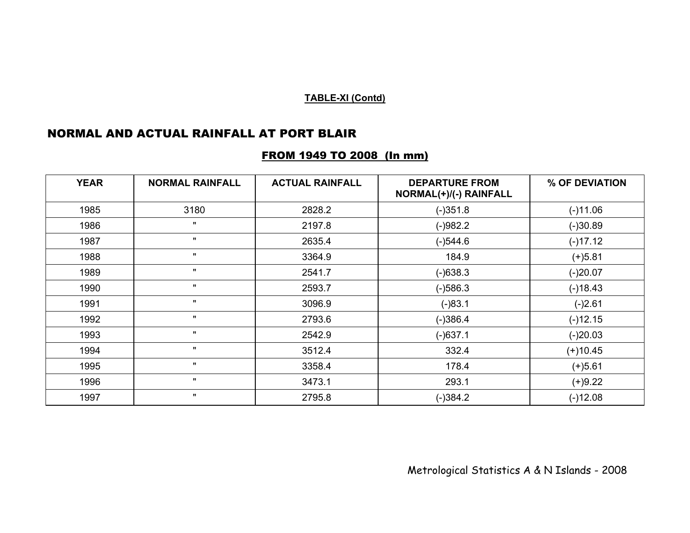## NORMAL AND ACTUAL RAINFALL AT PORT BLAIR

| <b>YEAR</b> | <b>NORMAL RAINFALL</b> | <b>ACTUAL RAINFALL</b> | <b>DEPARTURE FROM</b><br>NORMAL(+)/(-) RAINFALL | % OF DEVIATION |
|-------------|------------------------|------------------------|-------------------------------------------------|----------------|
| 1985        | 3180                   | 2828.2                 | $(-)351.8$                                      | $(-)11.06$     |
| 1986        | $\mathbf{u}$           | 2197.8                 | $(-)982.2$                                      | $(-)30.89$     |
| 1987        | $\mathbf{u}$           | 2635.4                 | $(-)544.6$                                      | $(-)17.12$     |
| 1988        | $\pmb{\mathrm{H}}$     | 3364.9                 | 184.9                                           | $(+)5.81$      |
| 1989        | $\mathbf{u}$           | 2541.7                 | $(-)638.3$                                      | $(-)20.07$     |
| 1990        | $\mathbf{u}$           | 2593.7                 | $(-)586.3$                                      | $(-)18.43$     |
| 1991        | $\mathbf{u}$           | 3096.9                 | $(-)83.1$                                       | $(-)2.61$      |
| 1992        | $\mathbf{u}$           | 2793.6                 | $(-)386.4$                                      | $(-)12.15$     |
| 1993        | $\mathbf{u}$           | 2542.9                 | $(-)637.1$                                      | $(-)20.03$     |
| 1994        | $\mathbf{u}$           | 3512.4                 | 332.4                                           | $(+)10.45$     |
| 1995        | $\mathbf{u}$           | 3358.4                 | 178.4                                           | $(+)5.61$      |
| 1996        |                        | 3473.1                 | 293.1                                           | $(+)9.22$      |
| 1997        | $\mathbf{u}$           | 2795.8                 | $(-)384.2$                                      | $(-)12.08$     |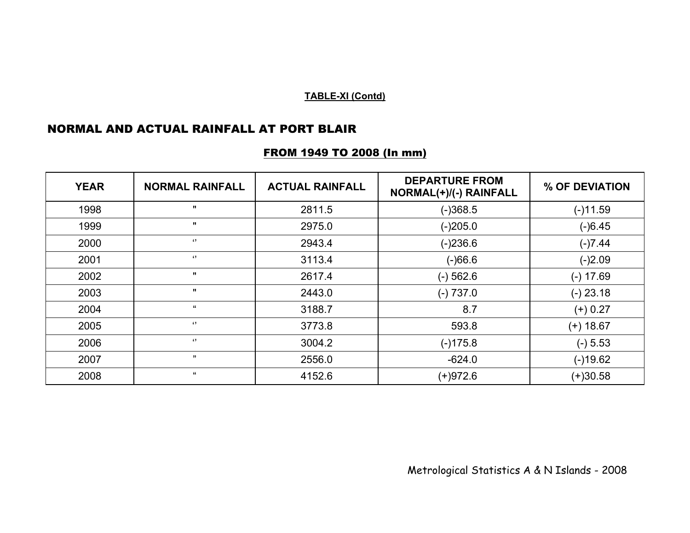## NORMAL AND ACTUAL RAINFALL AT PORT BLAIR

| <b>YEAR</b> | <b>NORMAL RAINFALL</b> | <b>ACTUAL RAINFALL</b> | <b>DEPARTURE FROM</b><br>NORMAL(+)/(-) RAINFALL | % OF DEVIATION |
|-------------|------------------------|------------------------|-------------------------------------------------|----------------|
| 1998        | $\mathbf{u}$           | 2811.5                 | $(-)368.5$                                      | $(-)11.59$     |
| 1999        | $\mathbf{u}$           | 2975.0                 | $(-)205.0$                                      | $(-)6.45$      |
| 2000        | $\epsilon$             | 2943.4                 | $(-)236.6$                                      | $(-)7.44$      |
| 2001        | $\lq$                  | 3113.4                 | $( - )66.6$                                     | $(-)2.09$      |
| 2002        | $\mathbf{u}$           | 2617.4                 | $(-)$ 562.6                                     | $(-) 17.69$    |
| 2003        | $\mathbf{u}$           | 2443.0                 | $(-) 737.0$                                     | $(-) 23.18$    |
| 2004        | $\epsilon$             | 3188.7                 | 8.7                                             | $(+) 0.27$     |
| 2005        | $\epsilon$             | 3773.8                 | 593.8                                           | (+) 18.67      |
| 2006        | $\left( \cdot \right)$ | 3004.2                 | $(-)175.8$                                      | $(-) 5.53$     |
| 2007        | ,,                     | 2556.0                 | $-624.0$                                        | $(-)19.62$     |
| 2008        | $\epsilon\epsilon$     | 4152.6                 | (+)972.6                                        | $(+)30.58$     |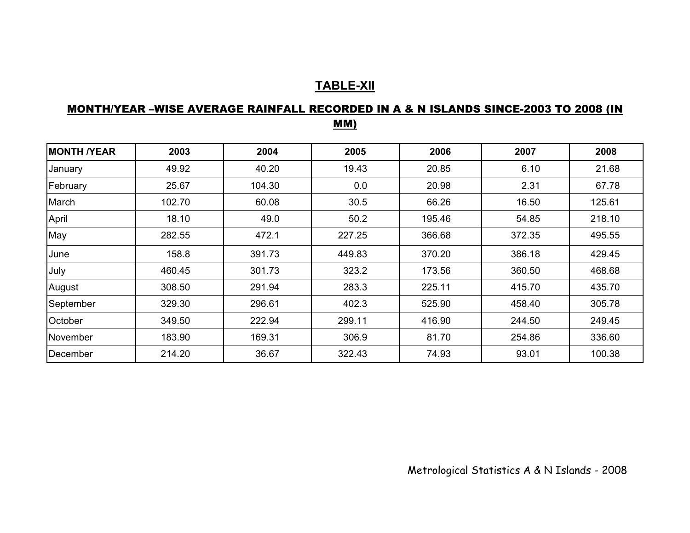## **TABLE-XII**

## MONTH/YEAR –WISE AVERAGE RAINFALL RECORDED IN A & N ISLANDS SINCE-2003 TO 2008 (IN MM)

| <b>MONTH /YEAR</b> | 2003   | 2004   | 2005   | 2006   | 2007   | 2008   |
|--------------------|--------|--------|--------|--------|--------|--------|
| January            | 49.92  | 40.20  | 19.43  | 20.85  | 6.10   | 21.68  |
| February           | 25.67  | 104.30 | 0.0    | 20.98  | 2.31   | 67.78  |
| March              | 102.70 | 60.08  | 30.5   | 66.26  | 16.50  | 125.61 |
| April              | 18.10  | 49.0   | 50.2   | 195.46 | 54.85  | 218.10 |
| May                | 282.55 | 472.1  | 227.25 | 366.68 | 372.35 | 495.55 |
| June               | 158.8  | 391.73 | 449.83 | 370.20 | 386.18 | 429.45 |
| July               | 460.45 | 301.73 | 323.2  | 173.56 | 360.50 | 468.68 |
| August             | 308.50 | 291.94 | 283.3  | 225.11 | 415.70 | 435.70 |
| September          | 329.30 | 296.61 | 402.3  | 525.90 | 458.40 | 305.78 |
| October            | 349.50 | 222.94 | 299.11 | 416.90 | 244.50 | 249.45 |
| November           | 183.90 | 169.31 | 306.9  | 81.70  | 254.86 | 336.60 |
| December           | 214.20 | 36.67  | 322.43 | 74.93  | 93.01  | 100.38 |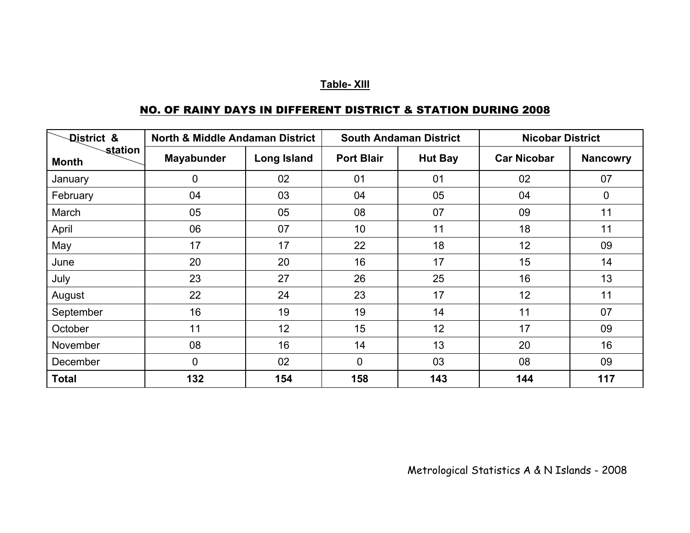#### **Table- XIII**

#### NO. OF RAINY DAYS IN DIFFERENT DISTRICT & STATION DURING 2008

| District &              | <b>North &amp; Middle Andaman District</b> |                    |                   | <b>South Andaman District</b> | <b>Nicobar District</b> |                 |
|-------------------------|--------------------------------------------|--------------------|-------------------|-------------------------------|-------------------------|-----------------|
| station<br><b>Month</b> | Mayabunder                                 | <b>Long Island</b> | <b>Port Blair</b> | <b>Hut Bay</b>                | <b>Car Nicobar</b>      | <b>Nancowry</b> |
| January                 | 0                                          | 02                 | 01                | 01                            | 02                      | 07              |
| February                | 04                                         | 03                 | 04                | 05                            | 04                      | 0               |
| March                   | 05                                         | 05                 | 08                | 07                            | 09                      | 11              |
| April                   | 06                                         | 07                 | 10 <sup>°</sup>   | 11                            | 18                      | 11              |
| May                     | 17                                         | 17                 | 22                | 18                            | 12                      | 09              |
| June                    | 20                                         | 20                 | 16                | 17                            | 15                      | 14              |
| July                    | 23                                         | 27                 | 26                | 25                            | 16                      | 13              |
| August                  | 22                                         | 24                 | 23                | 17                            | 12                      | 11              |
| September               | 16                                         | 19                 | 19                | 14                            | 11                      | 07              |
| October                 | 11                                         | 12                 | 15                | 12                            | 17                      | 09              |
| November                | 08                                         | 16                 | 14                | 13                            | 20                      | 16              |
| December                | 0                                          | 02                 | 0                 | 03                            | 08                      | 09              |
| <b>Total</b>            | 132                                        | 154                | 158               | 143                           | 144                     | 117             |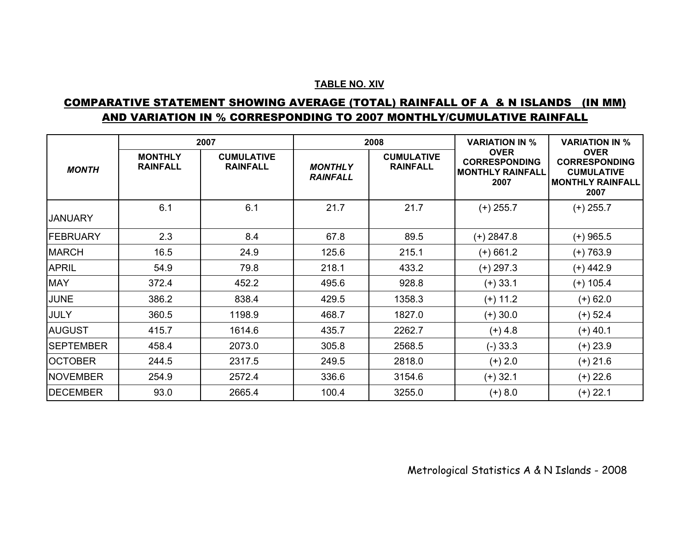#### **TABLE NO. XIV**

## COMPARATIVE STATEMENT SHOWING AVERAGE (TOTAL) RAINFALL OF A & N ISLANDS (IN MM) AND VARIATION IN % CORRESPONDING TO 2007 MONTHLY/CUMULATIVE RAINFALL

|                  | 2007                              |                                      |                                   | 2008                                 | <b>VARIATION IN %</b>                                                  | <b>VARIATION IN %</b>                                                                       |
|------------------|-----------------------------------|--------------------------------------|-----------------------------------|--------------------------------------|------------------------------------------------------------------------|---------------------------------------------------------------------------------------------|
| <b>MONTH</b>     | <b>MONTHLY</b><br><b>RAINFALL</b> | <b>CUMULATIVE</b><br><b>RAINFALL</b> | <b>MONTHLY</b><br><b>RAINFALL</b> | <b>CUMULATIVE</b><br><b>RAINFALL</b> | <b>OVER</b><br><b>CORRESPONDING</b><br><b>MONTHLY RAINFALL</b><br>2007 | <b>OVER</b><br><b>CORRESPONDING</b><br><b>CUMULATIVE</b><br><b>MONTHLY RAINFALL</b><br>2007 |
| <b>JANUARY</b>   | 6.1                               | 6.1                                  | 21.7                              | 21.7                                 | $(+)$ 255.7                                                            | $(+)$ 255.7                                                                                 |
| <b>FEBRUARY</b>  | 2.3                               | 8.4                                  | 67.8                              | 89.5                                 | $(+) 2847.8$                                                           | $(+)$ 965.5                                                                                 |
| <b>MARCH</b>     | 16.5                              | 24.9                                 | 125.6                             | 215.1                                | $(+)$ 661.2                                                            | $(+) 763.9$                                                                                 |
| <b>APRIL</b>     | 54.9                              | 79.8                                 | 218.1                             | 433.2                                | $(+)$ 297.3                                                            | (+) 442.9                                                                                   |
| <b>MAY</b>       | 372.4                             | 452.2                                | 495.6                             | 928.8                                | $(+)$ 33.1                                                             | $(+)$ 105.4                                                                                 |
| <b>JUNE</b>      | 386.2                             | 838.4                                | 429.5                             | 1358.3                               | $(+)$ 11.2                                                             | $(+)$ 62.0                                                                                  |
| <b>JULY</b>      | 360.5                             | 1198.9                               | 468.7                             | 1827.0                               | $(+)30.0$                                                              | $(+)$ 52.4                                                                                  |
| <b>AUGUST</b>    | 415.7                             | 1614.6                               | 435.7                             | 2262.7                               | $(+)$ 4.8                                                              | $(+)$ 40.1                                                                                  |
| <b>SEPTEMBER</b> | 458.4                             | 2073.0                               | 305.8                             | 2568.5                               | $(-)33.3$                                                              | $(+)$ 23.9                                                                                  |
| <b>OCTOBER</b>   | 244.5                             | 2317.5                               | 249.5                             | 2818.0                               | $(+)$ 2.0                                                              | $(+)$ 21.6                                                                                  |
| <b>NOVEMBER</b>  | 254.9                             | 2572.4                               | 336.6                             | 3154.6                               | $(+)$ 32.1                                                             | $(+)$ 22.6                                                                                  |
| <b>DECEMBER</b>  | 93.0                              | 2665.4                               | 100.4                             | 3255.0                               | $(+) 8.0$                                                              | $(+)$ 22.1                                                                                  |